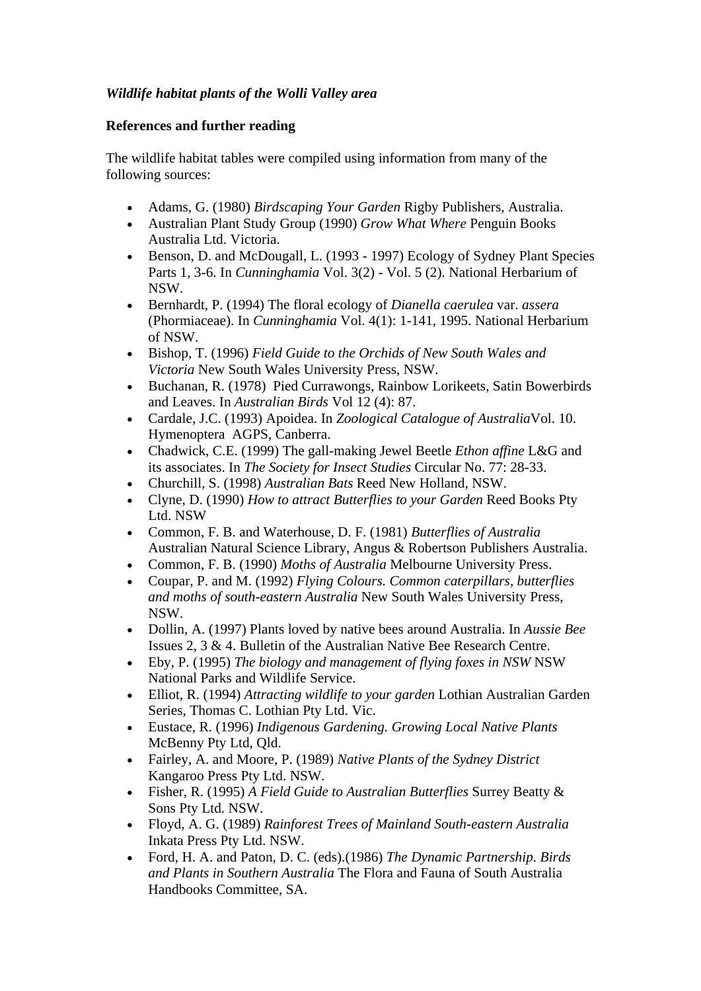## *Wildlife habitat plants of the Wolli Valley area*

## **References and further reading**

The wildlife habitat tables were compiled using information from many of the following sources:

- Adams, G. (1980) *Birdscaping Your Garden* Rigby Publishers, Australia.
- Australian Plant Study Group (1990) *Grow What Where* Penguin Books Australia Ltd. Victoria.
- Benson, D. and McDougall, L. (1993 1997) Ecology of Sydney Plant Species Parts 1, 3-6. In *Cunninghamia* Vol. 3(2) - Vol. 5 (2). National Herbarium of NSW.
- Bernhardt, P. (1994) The floral ecology of *Dianella caerulea* var. *assera* (Phormiaceae). In *Cunninghamia* Vol. 4(1): 1-141, 1995. National Herbarium of NSW.
- Bishop, T. (1996) *Field Guide to the Orchids of New South Wales and Victoria* New South Wales University Press, NSW.
- Buchanan, R. (1978) Pied Currawongs, Rainbow Lorikeets, Satin Bowerbirds and Leaves. In *Australian Birds* Vol 12 (4): 87.
- Cardale, J.C. (1993) Apoidea. In *Zoological Catalogue of Australia*Vol. 10. Hymenoptera AGPS, Canberra.
- Chadwick, C.E. (1999) The gall-making Jewel Beetle *Ethon affine* L&G and its associates. In *The Society for Insect Studies* Circular No. 77: 28-33.
- Churchill, S. (1998) *Australian Bats* Reed New Holland, NSW.
- Clyne, D. (1990) *How to attract Butterflies to your Garden* Reed Books Pty Ltd. NSW
- Common, F. B. and Waterhouse, D. F. (1981) *Butterflies of Australia* Australian Natural Science Library, Angus & Robertson Publishers Australia.
- Common, F. B. (1990) *Moths of Australia* Melbourne University Press.
- Coupar, P. and M. (1992) *Flying Colours. Common caterpillars, butterflies and moths of south-eastern Australia* New South Wales University Press, NSW.
- Dollin, A. (1997) Plants loved by native bees around Australia. In *Aussie Bee* Issues 2, 3 & 4. Bulletin of the Australian Native Bee Research Centre.
- Eby, P. (1995) *The biology and management of flying foxes in NSW* NSW National Parks and Wildlife Service.
- Elliot, R. (1994) *Attracting wildlife to your garden* Lothian Australian Garden Series, Thomas C. Lothian Pty Ltd. Vic.
- Eustace, R. (1996) *Indigenous Gardening. Growing Local Native Plants* McBenny Pty Ltd, Qld.
- Fairley, A. and Moore, P. (1989) *Native Plants of the Sydney District* Kangaroo Press Pty Ltd. NSW.
- Fisher, R. (1995) *A Field Guide to Australian Butterflies* Surrey Beatty & Sons Pty Ltd. NSW.
- Floyd, A. G. (1989) *Rainforest Trees of Mainland South-eastern Australia* Inkata Press Pty Ltd. NSW.
- Ford, H. A. and Paton, D. C. (eds).(1986) *The Dynamic Partnership. Birds and Plants in Southern Australia* The Flora and Fauna of South Australia Handbooks Committee, SA.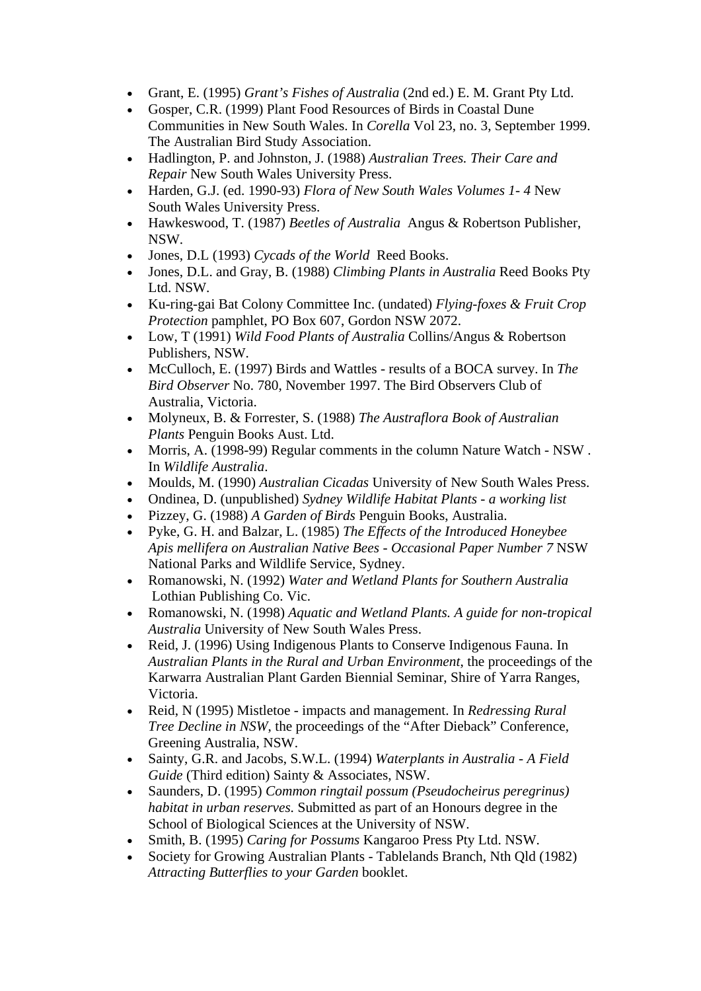- Grant, E. (1995) *Grant's Fishes of Australia* (2nd ed.) E. M. Grant Pty Ltd.
- Gosper, C.R. (1999) Plant Food Resources of Birds in Coastal Dune Communities in New South Wales. In *Corella* Vol 23, no. 3, September 1999. The Australian Bird Study Association.
- Hadlington, P. and Johnston, J. (1988) *Australian Trees. Their Care and Repair* New South Wales University Press.
- Harden, G.J. (ed. 1990-93) *Flora of New South Wales Volumes 1- 4* New South Wales University Press.
- Hawkeswood, T. (1987) *Beetles of Australia* Angus & Robertson Publisher, NSW.
- Jones, D.L (1993) *Cycads of the World* Reed Books.
- Jones, D.L. and Gray, B. (1988) *Climbing Plants in Australia* Reed Books Pty Ltd. NSW.
- Ku-ring-gai Bat Colony Committee Inc. (undated) *Flying-foxes & Fruit Crop Protection* pamphlet, PO Box 607, Gordon NSW 2072.
- Low, T (1991) *Wild Food Plants of Australia* Collins/Angus & Robertson Publishers, NSW.
- McCulloch, E. (1997) Birds and Wattles results of a BOCA survey. In *The Bird Observer* No. 780, November 1997. The Bird Observers Club of Australia, Victoria.
- Molyneux, B. & Forrester, S. (1988) *The Austraflora Book of Australian Plants* Penguin Books Aust. Ltd.
- Morris, A. (1998-99) Regular comments in the column Nature Watch NSW . In *Wildlife Australia*.
- Moulds, M. (1990) *Australian Cicadas* University of New South Wales Press.
- Ondinea, D. (unpublished) *Sydney Wildlife Habitat Plants a working list*
- Pizzey, G. (1988) *A Garden of Birds* Penguin Books, Australia.
- Pyke, G. H. and Balzar, L. (1985) *The Effects of the Introduced Honeybee Apis mellifera on Australian Native Bees - Occasional Paper Number 7* NSW National Parks and Wildlife Service, Sydney.
- Romanowski, N. (1992) *Water and Wetland Plants for Southern Australia*  Lothian Publishing Co. Vic.
- Romanowski, N. (1998) *Aquatic and Wetland Plants. A guide for non-tropical Australia* University of New South Wales Press.
- Reid, J. (1996) Using Indigenous Plants to Conserve Indigenous Fauna. In *Australian Plants in the Rural and Urban Environment*, the proceedings of the Karwarra Australian Plant Garden Biennial Seminar, Shire of Yarra Ranges, Victoria.
- Reid, N (1995) Mistletoe impacts and management. In *Redressing Rural Tree Decline in NSW*, the proceedings of the "After Dieback" Conference, Greening Australia, NSW.
- Sainty, G.R. and Jacobs, S.W.L. (1994) *Waterplants in Australia A Field Guide* (Third edition) Sainty & Associates, NSW.
- Saunders, D. (1995) *Common ringtail possum (Pseudocheirus peregrinus) habitat in urban reserves.* Submitted as part of an Honours degree in the School of Biological Sciences at the University of NSW.
- Smith, B. (1995) *Caring for Possums* Kangaroo Press Pty Ltd. NSW.
- Society for Growing Australian Plants Tablelands Branch, Nth Qld (1982) *Attracting Butterflies to your Garden* booklet.